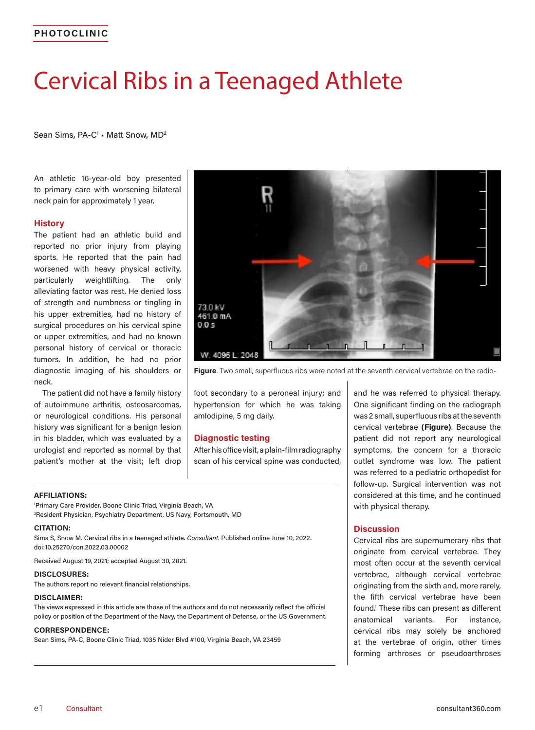# Cervical Ribs in a Teenaged Athlete

Sean Sims, PA-C<sup>1</sup> • Matt Snow, MD<sup>2</sup>

An athletic 16-year-old boy presented to primary care with worsening bilateral neck pain for approximately 1 year.

## **History**

The patient had an athletic build and reported no prior injury from playing sports. He reported that the pain had worsened with heavy physical activity, particularly weightlifting. The only alleviating factor was rest. He denied loss of strength and numbness or tingling in his upper extremities, had no history of surgical procedures on his cervical spine or upper extremities, and had no known personal history of cervical or thoracic tumors. In addition, he had no prior diagnostic imaging of his shoulders or neck.

The patient did not have a family history of autoimmune arthritis, osteosarcomas, or neurological conditions. His personal history was significant for a benign lesion in his bladder, which was evaluated by a urologist and reported as normal by that patient's mother at the visit; left drop



**Figure**. Two small, superfluous ribs were noted at the seventh cervical vertebrae on the radio-

foot secondary to a peroneal injury; and hypertension for which he was taking amlodipine, 5 mg daily.

# **Diagnostic testing**

After his office visit, a plain-film radiography scan of his cervical spine was conducted,

#### **AFFILIATIONS:**

1 Primary Care Provider, Boone Clinic Triad, Virginia Beach, VA 2 Resident Physician, Psychiatry Department, US Navy, Portsmouth, MD

#### **CITATION:**

Sims S, Snow M. Cervical ribs in a teenaged athlete. *Consultant*. Published online June 10, 2022. doi:10.25270/con.2022.03.00002

Received August 19, 2021; accepted August 30, 2021.

#### **DISCLOSURES:**

The authors report no relevant financial relationships.

#### **DISCLAIMER:**

The views expressed in this article are those of the authors and do not necessarily reflect the official policy or position of the Department of the Navy, the Department of Defense, or the US Government.

#### **CORRESPONDENCE:**

Sean Sims, PA-C, Boone Clinic Triad, 1035 Nider Blvd #100, Virginia Beach, VA 23459

and he was referred to physical therapy. One significant finding on the radiograph was 2 small, superfluous ribs at the seventh cervical vertebrae **(Figure)**. Because the patient did not report any neurological symptoms, the concern for a thoracic outlet syndrome was low. The patient was referred to a pediatric orthopedist for follow-up. Surgical intervention was not considered at this time, and he continued with physical therapy.

### **Discussion**

Cervical ribs are supernumerary ribs that originate from cervical vertebrae. They most often occur at the seventh cervical vertebrae, although cervical vertebrae originating from the sixth and, more rarely, the fifth cervical vertebrae have been found.1 These ribs can present as different anatomical variants. For instance, cervical ribs may solely be anchored at the vertebrae of origin, other times forming arthroses or pseudoarthroses